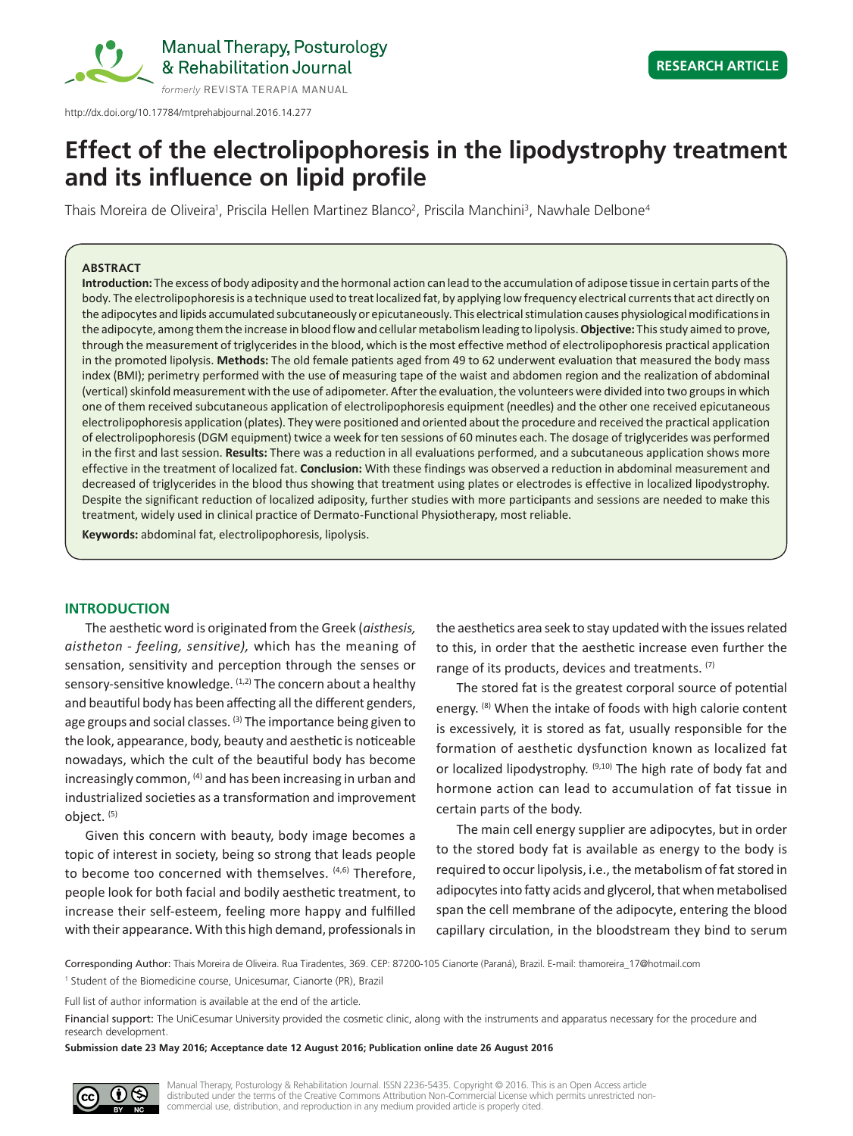

http://dx.doi.org/10.17784/mtprehabjournal.2016.14.277

# **Effect of the electrolipophoresis in the lipodystrophy treatment and its influence on lipid profile**

Thais Moreira de Oliveira<sup>1</sup>, Priscila Hellen Martinez Blanco<sup>2</sup>, Priscila Manchini<sup>3</sup>, Nawhale Delbone<sup>4</sup>

#### **ABSTRACT**

**Introduction:** The excess of body adiposity and the hormonal action can lead to the accumulation of adipose tissue in certain parts of the body. The electrolipophoresis is a technique used to treat localized fat, by applying low frequency electrical currents that act directly on the adipocytes and lipids accumulated subcutaneously or epicutaneously. This electrical stimulation causes physiological modifications in the adipocyte, among them the increase in blood flow and cellular metabolism leading to lipolysis. **Objective:** This study aimed to prove, through the measurement of triglycerides in the blood, which is the most effective method of electrolipophoresis practical application in the promoted lipolysis. **Methods:** The old female patients aged from 49 to 62 underwent evaluation that measured the body mass index (BMI); perimetry performed with the use of measuring tape of the waist and abdomen region and the realization of abdominal (vertical) skinfold measurement with the use of adipometer. After the evaluation, the volunteers were divided into two groups in which one of them received subcutaneous application of electrolipophoresis equipment (needles) and the other one received epicutaneous electrolipophoresis application (plates). They were positioned and oriented about the procedure and received the practical application of electrolipophoresis (DGM equipment) twice a week for ten sessions of 60 minutes each. The dosage of triglycerides was performed in the first and last session. **Results:** There was a reduction in all evaluations performed, and a subcutaneous application shows more effective in the treatment of localized fat. **Conclusion:** With these findings was observed a reduction in abdominal measurement and decreased of triglycerides in the blood thus showing that treatment using plates or electrodes is effective in localized lipodystrophy. Despite the significant reduction of localized adiposity, further studies with more participants and sessions are needed to make this treatment, widely used in clinical practice of Dermato-Functional Physiotherapy, most reliable.

**Keywords:** abdominal fat, electrolipophoresis, lipolysis.

# **INTRODUCTION**

The aesthetic word is originated from the Greek (*aisthesis, aistheton - feeling, sensitive),* which has the meaning of sensation, sensitivity and perception through the senses or sensory-sensitive knowledge. (1,2) The concern about a healthy and beautiful body has been affecting all the different genders, age groups and social classes. (3) The importance being given to the look, appearance, body, beauty and aesthetic is noticeable nowadays, which the cult of the beautiful body has become increasingly common, (4) and has been increasing in urban and industrialized societies as a transformation and improvement object. (5)

Given this concern with beauty, body image becomes a topic of interest in society, being so strong that leads people to become too concerned with themselves. (4,6) Therefore, people look for both facial and bodily aesthetic treatment, to increase their self-esteem, feeling more happy and fulfilled with their appearance. With this high demand, professionals in

the aesthetics area seek to stay updated with the issues related to this, in order that the aesthetic increase even further the range of its products, devices and treatments. (7)

The stored fat is the greatest corporal source of potential energy. <sup>(8)</sup> When the intake of foods with high calorie content is excessively, it is stored as fat, usually responsible for the formation of aesthetic dysfunction known as localized fat or localized lipodystrophy. (9,10) The high rate of body fat and hormone action can lead to accumulation of fat tissue in certain parts of the body.

The main cell energy supplier are adipocytes, but in order to the stored body fat is available as energy to the body is required to occur lipolysis, i.e., the metabolism of fat stored in adipocytes into fatty acids and glycerol, that when metabolised span the cell membrane of the adipocyte, entering the blood capillary circulation, in the bloodstream they bind to serum

Corresponding Author: Thais Moreira de Oliveira. Rua Tiradentes, 369. CEP: 87200-105 Cianorte (Paraná), Brazil. E-mail: thamoreira\_17@hotmail.com <sup>1</sup> Student of the Biomedicine course, Unicesumar, Cianorte (PR), Brazil

Full list of author information is available at the end of the article.

Financial support: The UniCesumar University provided the cosmetic clinic, along with the instruments and apparatus necessary for the procedure and research development.

**Submission date 23 May 2016; Acceptance date 12 August 2016; Publication online date 26 August 2016**



Manual Therapy, Posturology & Rehabilitation Journal. ISSN 2236-5435. Copyright © 2016. This is an Open Access article distributed under the terms of the Creative Commons Attribution Non-Commercial License which permits unrestricted noncommercial use, distribution, and reproduction in any medium provided article is properly cited.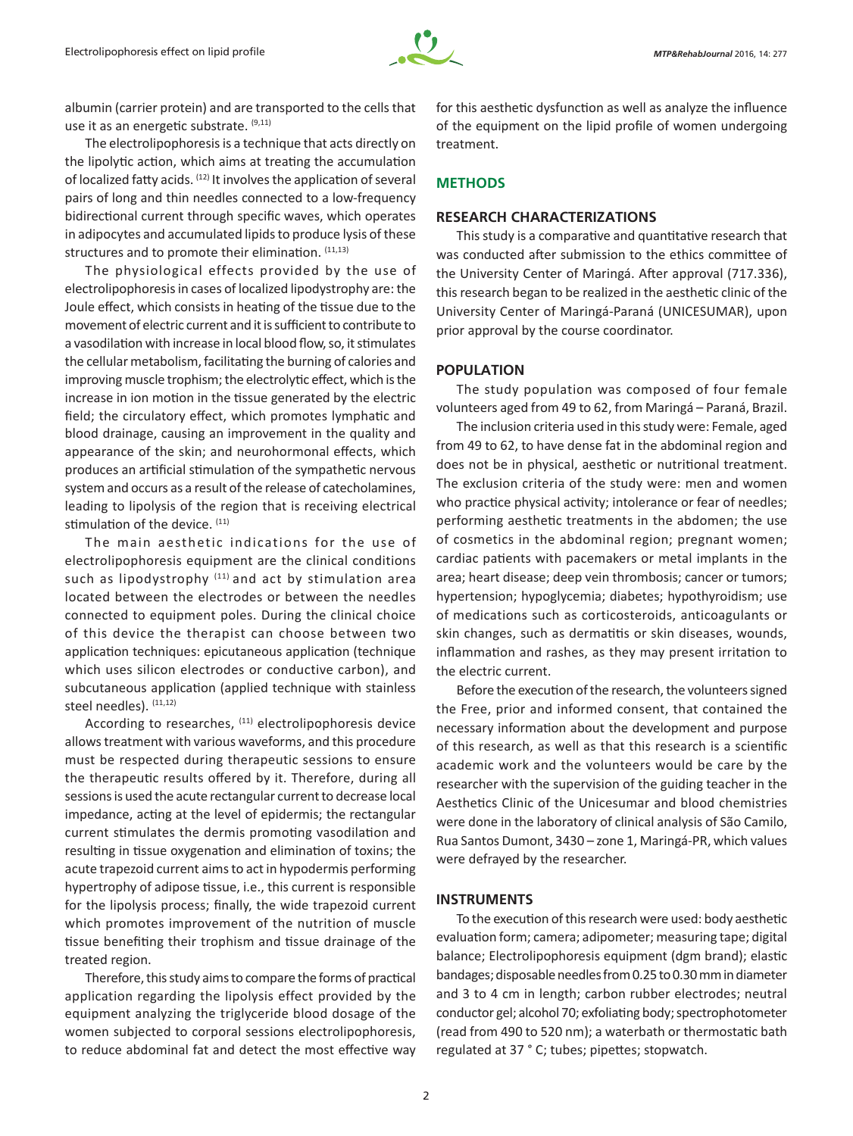

albumin (carrier protein) and are transported to the cells that use it as an energetic substrate. (9,11)

The electrolipophoresis is a technique that acts directly on the lipolytic action, which aims at treating the accumulation of localized fatty acids. (12) It involves the application of several pairs of long and thin needles connected to a low-frequency bidirectional current through specific waves, which operates in adipocytes and accumulated lipids to produce lysis of these structures and to promote their elimination.  $(11,13)$ 

The physiological effects provided by the use of electrolipophoresis in cases of localized lipodystrophy are: the Joule effect, which consists in heating of the tissue due to the movement of electric current and it is sufficient to contribute to a vasodilation with increase in local blood flow, so, it stimulates the cellular metabolism, facilitating the burning of calories and improving muscle trophism; the electrolytic effect, which is the increase in ion motion in the tissue generated by the electric field; the circulatory effect, which promotes lymphatic and blood drainage, causing an improvement in the quality and appearance of the skin; and neurohormonal effects, which produces an artificial stimulation of the sympathetic nervous system and occurs as a result of the release of catecholamines, leading to lipolysis of the region that is receiving electrical stimulation of the device. (11)

The main aesthetic indications for the use of electrolipophoresis equipment are the clinical conditions such as lipodystrophy (11) and act by stimulation area located between the electrodes or between the needles connected to equipment poles. During the clinical choice of this device the therapist can choose between two application techniques: epicutaneous application (technique which uses silicon electrodes or conductive carbon), and subcutaneous application (applied technique with stainless steel needles). (11,12)

According to researches, <sup>(11)</sup> electrolipophoresis device allows treatment with various waveforms, and this procedure must be respected during therapeutic sessions to ensure the therapeutic results offered by it. Therefore, during all sessions is used the acute rectangular current to decrease local impedance, acting at the level of epidermis; the rectangular current stimulates the dermis promoting vasodilation and resulting in tissue oxygenation and elimination of toxins; the acute trapezoid current aims to act in hypodermis performing hypertrophy of adipose tissue, i.e., this current is responsible for the lipolysis process; finally, the wide trapezoid current which promotes improvement of the nutrition of muscle tissue benefiting their trophism and tissue drainage of the treated region.

Therefore, this study aims to compare the forms of practical application regarding the lipolysis effect provided by the equipment analyzing the triglyceride blood dosage of the women subjected to corporal sessions electrolipophoresis, to reduce abdominal fat and detect the most effective way for this aesthetic dysfunction as well as analyze the influence of the equipment on the lipid profile of women undergoing treatment.

# **METHODS**

# **RESEARCH CHARACTERIZATIONS**

This study is a comparative and quantitative research that was conducted after submission to the ethics committee of the University Center of Maringá. After approval (717.336), this research began to be realized in the aesthetic clinic of the University Center of Maringá-Paraná (UNICESUMAR), upon prior approval by the course coordinator.

# **POPULATION**

The study population was composed of four female volunteers aged from 49 to 62, from Maringá – Paraná, Brazil.

The inclusion criteria used in this study were: Female, aged from 49 to 62, to have dense fat in the abdominal region and does not be in physical, aesthetic or nutritional treatment. The exclusion criteria of the study were: men and women who practice physical activity; intolerance or fear of needles; performing aesthetic treatments in the abdomen; the use of cosmetics in the abdominal region; pregnant women; cardiac patients with pacemakers or metal implants in the area; heart disease; deep vein thrombosis; cancer or tumors; hypertension; hypoglycemia; diabetes; hypothyroidism; use of medications such as corticosteroids, anticoagulants or skin changes, such as dermatitis or skin diseases, wounds, inflammation and rashes, as they may present irritation to the electric current.

Before the execution of the research, the volunteers signed the Free, prior and informed consent, that contained the necessary information about the development and purpose of this research, as well as that this research is a scientific academic work and the volunteers would be care by the researcher with the supervision of the guiding teacher in the Aesthetics Clinic of the Unicesumar and blood chemistries were done in the laboratory of clinical analysis of São Camilo, Rua Santos Dumont, 3430 – zone 1, Maringá-PR, which values were defrayed by the researcher.

#### **INSTRUMENTS**

To the execution of this research were used: body aesthetic evaluation form; camera; adipometer; measuring tape; digital balance; Electrolipophoresis equipment (dgm brand); elastic bandages; disposable needles from 0.25 to 0.30 mm in diameter and 3 to 4 cm in length; carbon rubber electrodes; neutral conductor gel; alcohol 70; exfoliating body; spectrophotometer (read from 490 to 520 nm); a waterbath or thermostatic bath regulated at 37 ° C; tubes; pipettes; stopwatch.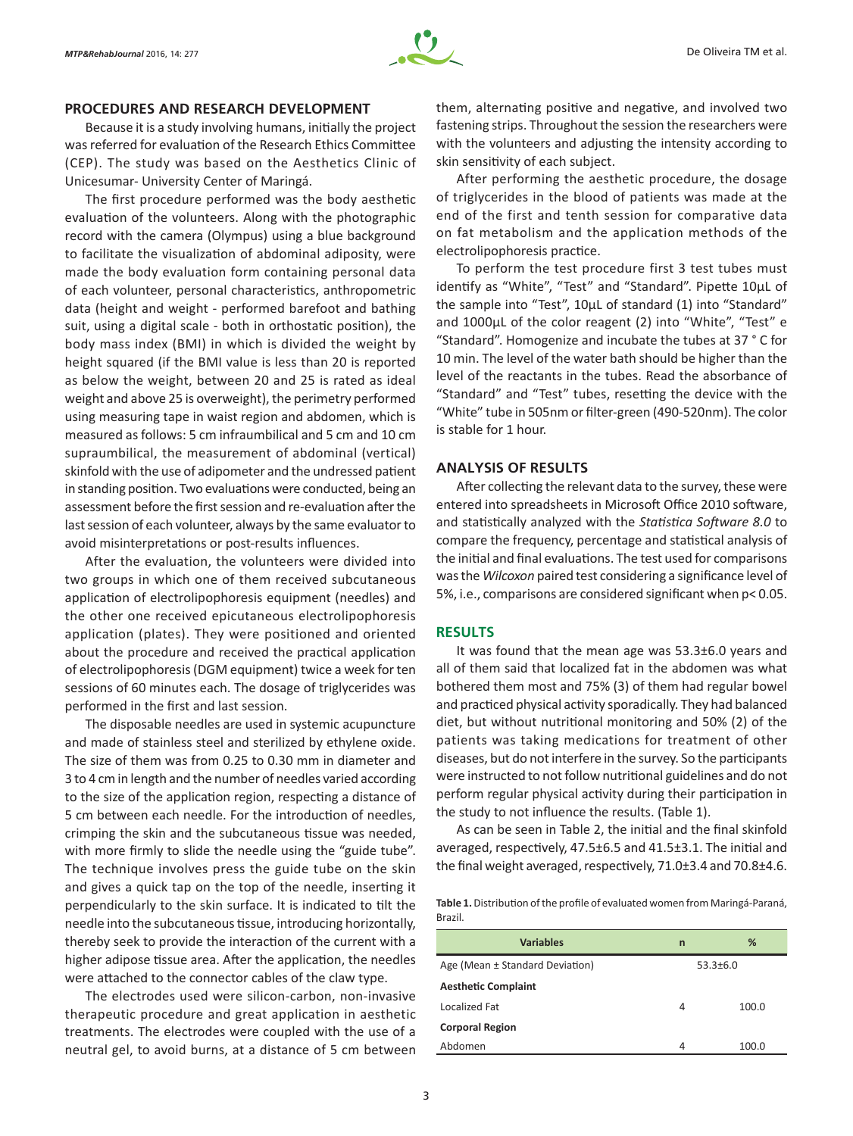#### **PROCEDURES AND RESEARCH DEVELOPMENT**

Because it is a study involving humans, initially the project was referred for evaluation of the Research Ethics Committee (CEP). The study was based on the Aesthetics Clinic of Unicesumar- University Center of Maringá.

The first procedure performed was the body aesthetic evaluation of the volunteers. Along with the photographic record with the camera (Olympus) using a blue background to facilitate the visualization of abdominal adiposity, were made the body evaluation form containing personal data of each volunteer, personal characteristics, anthropometric data (height and weight - performed barefoot and bathing suit, using a digital scale - both in orthostatic position), the body mass index (BMI) in which is divided the weight by height squared (if the BMI value is less than 20 is reported as below the weight, between 20 and 25 is rated as ideal weight and above 25 is overweight), the perimetry performed using measuring tape in waist region and abdomen, which is measured as follows: 5 cm infraumbilical and 5 cm and 10 cm supraumbilical, the measurement of abdominal (vertical) skinfold with the use of adipometer and the undressed patient in standing position. Two evaluations were conducted, being an assessment before the first session and re-evaluation after the last session of each volunteer, always by the same evaluator to avoid misinterpretations or post-results influences.

After the evaluation, the volunteers were divided into two groups in which one of them received subcutaneous application of electrolipophoresis equipment (needles) and the other one received epicutaneous electrolipophoresis application (plates). They were positioned and oriented about the procedure and received the practical application of electrolipophoresis (DGM equipment) twice a week for ten sessions of 60 minutes each. The dosage of triglycerides was performed in the first and last session.

The disposable needles are used in systemic acupuncture and made of stainless steel and sterilized by ethylene oxide. The size of them was from 0.25 to 0.30 mm in diameter and 3 to 4 cm in length and the number of needles varied according to the size of the application region, respecting a distance of 5 cm between each needle. For the introduction of needles, crimping the skin and the subcutaneous tissue was needed, with more firmly to slide the needle using the "guide tube". The technique involves press the guide tube on the skin and gives a quick tap on the top of the needle, inserting it perpendicularly to the skin surface. It is indicated to tilt the needle into the subcutaneous tissue, introducing horizontally, thereby seek to provide the interaction of the current with a higher adipose tissue area. After the application, the needles were attached to the connector cables of the claw type.

The electrodes used were silicon-carbon, non-invasive therapeutic procedure and great application in aesthetic treatments. The electrodes were coupled with the use of a neutral gel, to avoid burns, at a distance of 5 cm between them, alternating positive and negative, and involved two fastening strips. Throughout the session the researchers were with the volunteers and adjusting the intensity according to skin sensitivity of each subject.

After performing the aesthetic procedure, the dosage of triglycerides in the blood of patients was made at the end of the first and tenth session for comparative data on fat metabolism and the application methods of the electrolipophoresis practice.

To perform the test procedure first 3 test tubes must identify as "White", "Test" and "Standard". Pipette 10μL of the sample into "Test", 10μL of standard (1) into "Standard" and 1000μL of the color reagent (2) into "White", "Test" e "Standard". Homogenize and incubate the tubes at 37 ° C for 10 min. The level of the water bath should be higher than the level of the reactants in the tubes. Read the absorbance of "Standard" and "Test" tubes, resetting the device with the "White" tube in 505nm or filter-green (490-520nm). The color is stable for 1 hour.

#### **ANALYSIS OF RESULTS**

After collecting the relevant data to the survey, these were entered into spreadsheets in Microsoft Office 2010 software, and statistically analyzed with the *Statistica Software 8.0* to compare the frequency, percentage and statistical analysis of the initial and final evaluations. The test used for comparisons was the *Wilcoxon* paired test considering a significance level of 5%, i.e., comparisons are considered significant when p< 0.05.

#### **RESULTS**

It was found that the mean age was 53.3±6.0 years and all of them said that localized fat in the abdomen was what bothered them most and 75% (3) of them had regular bowel and practiced physical activity sporadically. They had balanced diet, but without nutritional monitoring and 50% (2) of the patients was taking medications for treatment of other diseases, but do not interfere in the survey. So the participants were instructed to not follow nutritional guidelines and do not perform regular physical activity during their participation in the study to not influence the results. (Table 1).

As can be seen in Table 2, the initial and the final skinfold averaged, respectively, 47.5±6.5 and 41.5±3.1. The initial and the final weight averaged, respectively, 71.0±3.4 and 70.8±4.6.

Table 1. Distribution of the profile of evaluated women from Maringá-Paraná, Brazil.

| <b>Variables</b>                | n            | ℅     |  |
|---------------------------------|--------------|-------|--|
| Age (Mean ± Standard Deviation) | $53.3 + 6.0$ |       |  |
| <b>Aesthetic Complaint</b>      |              |       |  |
| Localized Fat                   | 4            | 100.0 |  |
| <b>Corporal Region</b>          |              |       |  |
| Abdomen                         | 4            | 100.0 |  |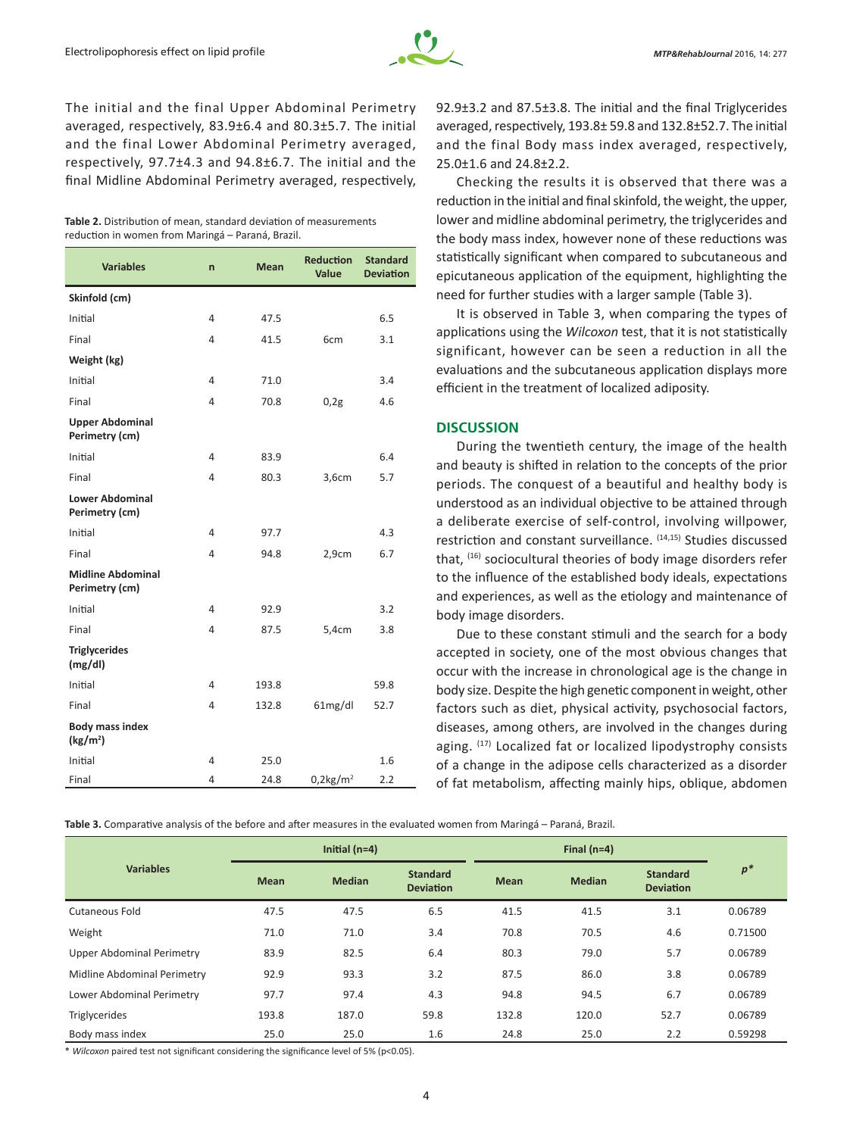

The initial and the final Upper Abdominal Perimetry averaged, respectively, 83.9±6.4 and 80.3±5.7. The initial and the final Lower Abdominal Perimetry averaged, respectively, 97.7±4.3 and 94.8±6.7. The initial and the final Midline Abdominal Perimetry averaged, respectively,

| Table 2. Distribution of mean, standard deviation of measurements |  |  |  |  |
|-------------------------------------------------------------------|--|--|--|--|
| reduction in women from Maringá – Paraná, Brazil.                 |  |  |  |  |

| <b>Variables</b>                               | $\overline{p}$ | <b>Mean</b> | <b>Reduction</b><br>Value | <b>Standard</b><br><b>Deviation</b> |
|------------------------------------------------|----------------|-------------|---------------------------|-------------------------------------|
| Skinfold (cm)                                  |                |             |                           |                                     |
| Initial                                        | 4              | 47.5        |                           | 6.5                                 |
| Final                                          | 4              | 41.5        | 6cm                       | 3.1                                 |
| Weight (kg)                                    |                |             |                           |                                     |
| Initial                                        | 4              | 71.0        |                           | 3.4                                 |
| Final                                          | 4              | 70.8        | 0,2g                      | 4.6                                 |
| <b>Upper Abdominal</b><br>Perimetry (cm)       |                |             |                           |                                     |
| Initial                                        | 4              | 83.9        |                           | 6.4                                 |
| Final                                          | 4              | 80.3        | 3,6cm                     | 5.7                                 |
| <b>Lower Abdominal</b><br>Perimetry (cm)       |                |             |                           |                                     |
| Initial                                        | 4              | 97.7        |                           | 4.3                                 |
| Final                                          | 4              | 94.8        | 2,9cm                     | 6.7                                 |
| <b>Midline Abdominal</b><br>Perimetry (cm)     |                |             |                           |                                     |
| Initial                                        | 4              | 92.9        |                           | 3.2                                 |
| Final                                          | 4              | 87.5        | 5,4cm                     | 3.8                                 |
| <b>Triglycerides</b><br>(mg/dl)                |                |             |                           |                                     |
| Initial                                        | 4              | 193.8       |                           | 59.8                                |
| Final                                          | 4              | 132.8       | 61mg/dl                   | 52.7                                |
| <b>Body mass index</b><br>(kg/m <sup>2</sup> ) |                |             |                           |                                     |
| Initial                                        | 4              | 25.0        |                           | 1.6                                 |
| Final                                          | 4              | 24.8        | $0.2$ kg/m <sup>2</sup>   | 2.2                                 |

92.9±3.2 and 87.5±3.8. The initial and the final Triglycerides averaged, respectively, 193.8± 59.8 and 132.8±52.7. The initial and the final Body mass index averaged, respectively, 25.0±1.6 and 24.8±2.2.

Checking the results it is observed that there was a reduction in the initial and final skinfold, the weight, the upper, lower and midline abdominal perimetry, the triglycerides and the body mass index, however none of these reductions was statistically significant when compared to subcutaneous and epicutaneous application of the equipment, highlighting the need for further studies with a larger sample (Table 3).

It is observed in Table 3, when comparing the types of applications using the *Wilcoxon* test, that it is not statistically significant, however can be seen a reduction in all the evaluations and the subcutaneous application displays more efficient in the treatment of localized adiposity.

### **DISCUSSION**

During the twentieth century, the image of the health and beauty is shifted in relation to the concepts of the prior periods. The conquest of a beautiful and healthy body is understood as an individual objective to be attained through a deliberate exercise of self-control, involving willpower, restriction and constant surveillance. (14,15) Studies discussed that, (16) sociocultural theories of body image disorders refer to the influence of the established body ideals, expectations and experiences, as well as the etiology and maintenance of body image disorders.

Due to these constant stimuli and the search for a body accepted in society, one of the most obvious changes that occur with the increase in chronological age is the change in body size. Despite the high genetic component in weight, other factors such as diet, physical activity, psychosocial factors, diseases, among others, are involved in the changes during aging. (17) Localized fat or localized lipodystrophy consists of a change in the adipose cells characterized as a disorder of fat metabolism, affecting mainly hips, oblique, abdomen

**Table 3.** Comparative analysis of the before and after measures in the evaluated women from Maringá – Paraná, Brazil.

| <b>Variables</b>            | Initial $(n=4)$ |               | Final $(n=4)$                       |             |               |                                     |         |
|-----------------------------|-----------------|---------------|-------------------------------------|-------------|---------------|-------------------------------------|---------|
|                             | <b>Mean</b>     | <b>Median</b> | <b>Standard</b><br><b>Deviation</b> | <b>Mean</b> | <b>Median</b> | <b>Standard</b><br><b>Deviation</b> | $p^*$   |
| Cutaneous Fold              | 47.5            | 47.5          | 6.5                                 | 41.5        | 41.5          | 3.1                                 | 0.06789 |
| Weight                      | 71.0            | 71.0          | 3.4                                 | 70.8        | 70.5          | 4.6                                 | 0.71500 |
| Upper Abdominal Perimetry   | 83.9            | 82.5          | 6.4                                 | 80.3        | 79.0          | 5.7                                 | 0.06789 |
| Midline Abdominal Perimetry | 92.9            | 93.3          | 3.2                                 | 87.5        | 86.0          | 3.8                                 | 0.06789 |
| Lower Abdominal Perimetry   | 97.7            | 97.4          | 4.3                                 | 94.8        | 94.5          | 6.7                                 | 0.06789 |
| <b>Triglycerides</b>        | 193.8           | 187.0         | 59.8                                | 132.8       | 120.0         | 52.7                                | 0.06789 |
| Body mass index             | 25.0            | 25.0          | 1.6                                 | 24.8        | 25.0          | 2.2                                 | 0.59298 |

\* *Wilcoxon* paired test not significant considering the significance level of 5% (p<0.05).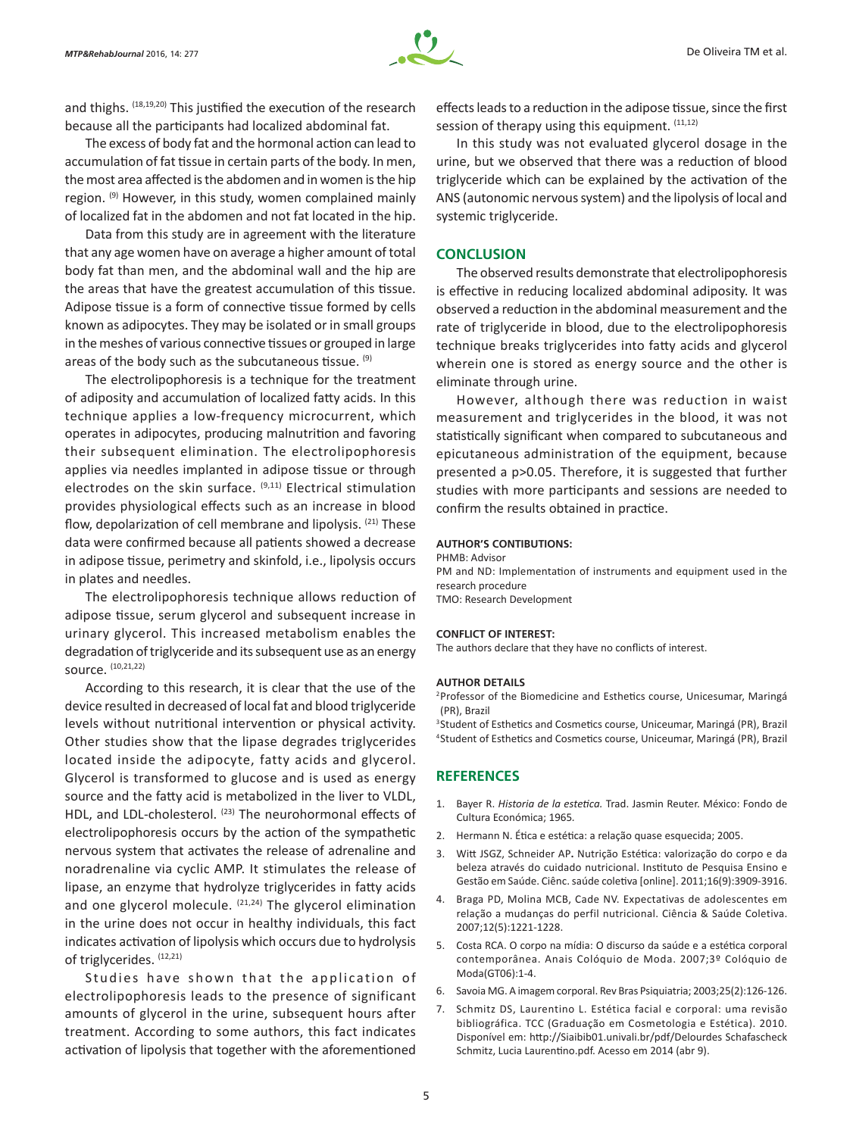and thighs. (18,19,20) This justified the execution of the research because all the participants had localized abdominal fat.

The excess of body fat and the hormonal action can lead to accumulation of fat tissue in certain parts of the body. In men, the most area affected is the abdomen and in women is the hip region. <sup>(9)</sup> However, in this study, women complained mainly of localized fat in the abdomen and not fat located in the hip.

Data from this study are in agreement with the literature that any age women have on average a higher amount of total body fat than men, and the abdominal wall and the hip are the areas that have the greatest accumulation of this tissue. Adipose tissue is a form of connective tissue formed by cells known as adipocytes. They may be isolated or in small groups in the meshes of various connective tissues or grouped in large areas of the body such as the subcutaneous tissue. (9)

The electrolipophoresis is a technique for the treatment of adiposity and accumulation of localized fatty acids. In this technique applies a low-frequency microcurrent, which operates in adipocytes, producing malnutrition and favoring their subsequent elimination. The electrolipophoresis applies via needles implanted in adipose tissue or through electrodes on the skin surface. <sup>(9,11)</sup> Electrical stimulation provides physiological effects such as an increase in blood flow, depolarization of cell membrane and lipolysis. <sup>(21)</sup> These data were confirmed because all patients showed a decrease in adipose tissue, perimetry and skinfold, i.e., lipolysis occurs in plates and needles.

The electrolipophoresis technique allows reduction of adipose tissue, serum glycerol and subsequent increase in urinary glycerol. This increased metabolism enables the degradation of triglyceride and its subsequent use as an energy source. (10,21,22)

According to this research, it is clear that the use of the device resulted in decreased of local fat and blood triglyceride levels without nutritional intervention or physical activity. Other studies show that the lipase degrades triglycerides located inside the adipocyte, fatty acids and glycerol. Glycerol is transformed to glucose and is used as energy source and the fatty acid is metabolized in the liver to VLDL, HDL, and LDL-cholesterol. (23) The neurohormonal effects of electrolipophoresis occurs by the action of the sympathetic nervous system that activates the release of adrenaline and noradrenaline via cyclic AMP. It stimulates the release of lipase, an enzyme that hydrolyze triglycerides in fatty acids and one glycerol molecule.  $(21,24)$  The glycerol elimination in the urine does not occur in healthy individuals, this fact indicates activation of lipolysis which occurs due to hydrolysis of triglycerides. (12,21)

Studies have shown that the application of electrolipophoresis leads to the presence of significant amounts of glycerol in the urine, subsequent hours after treatment. According to some authors, this fact indicates activation of lipolysis that together with the aforementioned

effects leads to a reduction in the adipose tissue, since the first session of therapy using this equipment.  $(11,12)$ 

In this study was not evaluated glycerol dosage in the urine, but we observed that there was a reduction of blood triglyceride which can be explained by the activation of the ANS (autonomic nervous system) and the lipolysis of local and systemic triglyceride.

#### **CONCLUSION**

The observed results demonstrate that electrolipophoresis is effective in reducing localized abdominal adiposity. It was observed a reduction in the abdominal measurement and the rate of triglyceride in blood, due to the electrolipophoresis technique breaks triglycerides into fatty acids and glycerol wherein one is stored as energy source and the other is eliminate through urine.

However, although there was reduction in waist measurement and triglycerides in the blood, it was not statistically significant when compared to subcutaneous and epicutaneous administration of the equipment, because presented a p>0.05. Therefore, it is suggested that further studies with more participants and sessions are needed to confirm the results obtained in practice.

#### **AUTHOR'S CONTIBUTIONS:**

PHMB: Advisor

PM and ND: Implementation of instruments and equipment used in the research procedure TMO: Research Development

#### **CONFLICT OF INTEREST:**

The authors declare that they have no conflicts of interest.

#### **AUTHOR DETAILS**

<sup>2</sup>Professor of the Biomedicine and Esthetics course, Unicesumar, Maringá (PR), Brazil

<sup>3</sup>Student of Esthetics and Cosmetics course, Uniceumar, Maringá (PR), Brazil 4Student of Esthetics and Cosmetics course, Uniceumar, Maringá (PR), Brazil

#### **REFERENCES**

- 1. Bayer R. *Historia de la estetica.* Trad. Jasmin Reuter. México: Fondo de Cultura Económica; 1965*.*
- 2. Hermann N. Ética e estética: a relação quase esquecida; 2005.
- 3. Witt JSGZ, Schneider AP**.** Nutrição Estética: valorização do corpo e da beleza através do cuidado nutricional. Instituto de Pesquisa Ensino e Gestão em Saúde. Ciênc. saúde coletiva [online]. 2011;16(9):3909-3916.
- 4. Braga PD, Molina MCB, Cade NV. Expectativas de adolescentes em relação a mudanças do perfil nutricional. Ciência & Saúde Coletiva. 2007;12(5):1221-1228.
- 5. Costa RCA. O corpo na mídia: O discurso da saúde e a estética corporal contemporânea. Anais Colóquio de Moda. 2007;3º Colóquio de Moda(GT06):1-4.
- 6. Savoia MG. A imagem corporal. Rev Bras Psiquiatria; 2003;25(2):126-126.
- 7. Schmitz DS, Laurentino L. Estética facial e corporal: uma revisão bibliográfica. TCC (Graduação em Cosmetologia e Estética). 2010. Disponível em: http://Siaibib01.univali.br/pdf/Delourdes Schafascheck Schmitz, Lucia Laurentino.pdf. Acesso em 2014 (abr 9).